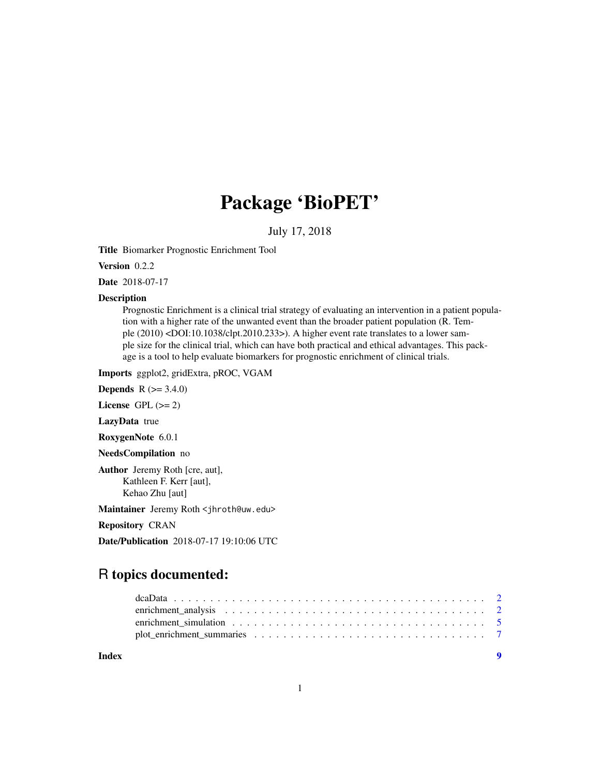# Package 'BioPET'

July 17, 2018

Title Biomarker Prognostic Enrichment Tool

Version 0.2.2

Date 2018-07-17

# Description

Prognostic Enrichment is a clinical trial strategy of evaluating an intervention in a patient population with a higher rate of the unwanted event than the broader patient population (R. Temple (2010) <DOI:10.1038/clpt.2010.233>). A higher event rate translates to a lower sample size for the clinical trial, which can have both practical and ethical advantages. This package is a tool to help evaluate biomarkers for prognostic enrichment of clinical trials.

Imports ggplot2, gridExtra, pROC, VGAM

**Depends** R  $(>= 3.4.0)$ 

License GPL  $(>= 2)$ 

LazyData true

RoxygenNote 6.0.1

NeedsCompilation no

Author Jeremy Roth [cre, aut], Kathleen F. Kerr [aut], Kehao Zhu [aut]

Maintainer Jeremy Roth <jhroth@uw.edu>

Repository CRAN

Date/Publication 2018-07-17 19:10:06 UTC

# R topics documented:

| enrichment simulation $\ldots \ldots \ldots \ldots \ldots \ldots \ldots \ldots \ldots \ldots \ldots$ |  |
|------------------------------------------------------------------------------------------------------|--|
|                                                                                                      |  |
|                                                                                                      |  |

**Index** [9](#page-8-0)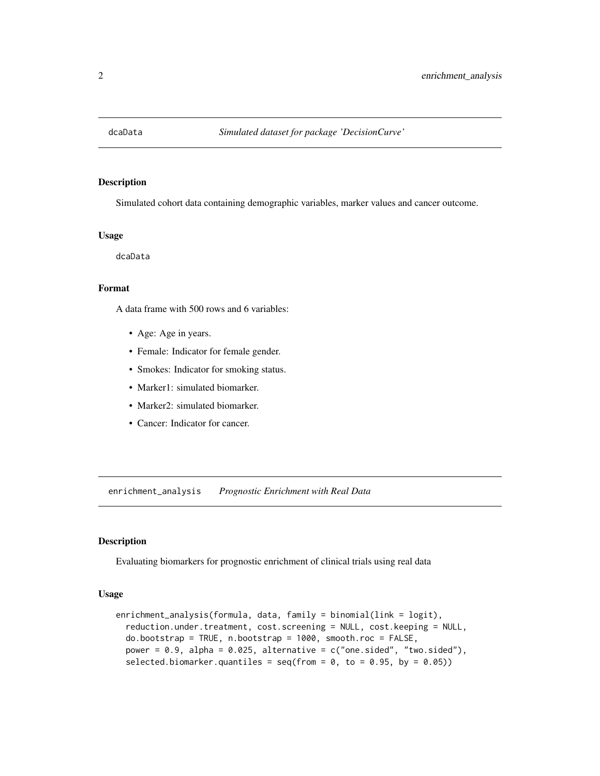<span id="page-1-0"></span>

#### Description

Simulated cohort data containing demographic variables, marker values and cancer outcome.

#### Usage

dcaData

# Format

A data frame with 500 rows and 6 variables:

- Age: Age in years.
- Female: Indicator for female gender.
- Smokes: Indicator for smoking status.
- Marker1: simulated biomarker.
- Marker2: simulated biomarker.
- Cancer: Indicator for cancer.

<span id="page-1-1"></span>enrichment\_analysis *Prognostic Enrichment with Real Data*

# Description

Evaluating biomarkers for prognostic enrichment of clinical trials using real data

#### Usage

```
enrichment_analysis(formula, data, family = binomial(link = logit),
  reduction.under.treatment, cost.screening = NULL, cost.keeping = NULL,
  do.bootstrap = TRUE, n.bootstrap = 1000, smooth.roc = FALSE,
 power = 0.9, alpha = 0.025, alternative = c("one-sided", "two-sided"),selected.biomarker.quantiles = seq(from = 0, to = 0.95, by = 0.05))
```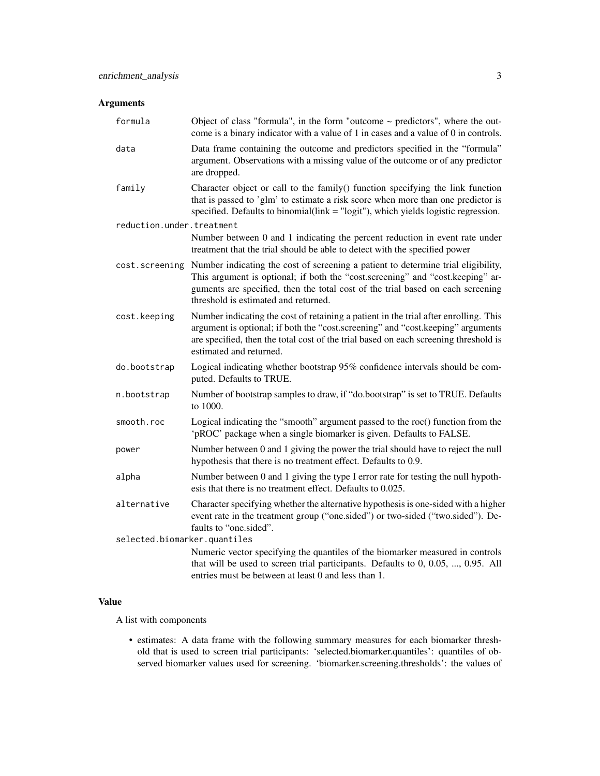# Arguments

| formula                      | Object of class "formula", in the form "outcome $\sim$ predictors", where the out-<br>come is a binary indicator with a value of 1 in cases and a value of 0 in controls.                                                                                                                                      |
|------------------------------|----------------------------------------------------------------------------------------------------------------------------------------------------------------------------------------------------------------------------------------------------------------------------------------------------------------|
| data                         | Data frame containing the outcome and predictors specified in the "formula"<br>argument. Observations with a missing value of the outcome or of any predictor<br>are dropped.                                                                                                                                  |
| family                       | Character object or call to the family() function specifying the link function<br>that is passed to 'glm' to estimate a risk score when more than one predictor is<br>specified. Defaults to binomial(link $=$ "logit"), which yields logistic regression.                                                     |
| reduction.under.treatment    |                                                                                                                                                                                                                                                                                                                |
|                              | Number between 0 and 1 indicating the percent reduction in event rate under<br>treatment that the trial should be able to detect with the specified power                                                                                                                                                      |
|                              | cost. screening Number indicating the cost of screening a patient to determine trial eligibility,<br>This argument is optional; if both the "cost.screening" and "cost.keeping" ar-<br>guments are specified, then the total cost of the trial based on each screening<br>threshold is estimated and returned. |
| cost.keeping                 | Number indicating the cost of retaining a patient in the trial after enrolling. This<br>argument is optional; if both the "cost.screening" and "cost.keeping" arguments<br>are specified, then the total cost of the trial based on each screening threshold is<br>estimated and returned.                     |
| do.bootstrap                 | Logical indicating whether bootstrap 95% confidence intervals should be com-<br>puted. Defaults to TRUE.                                                                                                                                                                                                       |
| n.bootstrap                  | Number of bootstrap samples to draw, if "do.bootstrap" is set to TRUE. Defaults<br>to 1000.                                                                                                                                                                                                                    |
| smooth.roc                   | Logical indicating the "smooth" argument passed to the roc() function from the<br>'pROC' package when a single biomarker is given. Defaults to FALSE.                                                                                                                                                          |
| power                        | Number between 0 and 1 giving the power the trial should have to reject the null<br>hypothesis that there is no treatment effect. Defaults to 0.9.                                                                                                                                                             |
| alpha                        | Number between 0 and 1 giving the type I error rate for testing the null hypoth-<br>esis that there is no treatment effect. Defaults to 0.025.                                                                                                                                                                 |
| alternative                  | Character specifying whether the alternative hypothesis is one-sided with a higher<br>event rate in the treatment group ("one.sided") or two-sided ("two.sided"). De-<br>faults to "one.sided".                                                                                                                |
| selected.biomarker.quantiles |                                                                                                                                                                                                                                                                                                                |
|                              | Numeric vector specifying the quantiles of the biomarker measured in controls<br>that will be used to screen trial participants. Defaults to $0, 0.05, , 0.95$ . All<br>entries must be between at least 0 and less than 1.                                                                                    |

# Value

A list with components

• estimates: A data frame with the following summary measures for each biomarker threshold that is used to screen trial participants: 'selected.biomarker.quantiles': quantiles of observed biomarker values used for screening. 'biomarker.screening.thresholds': the values of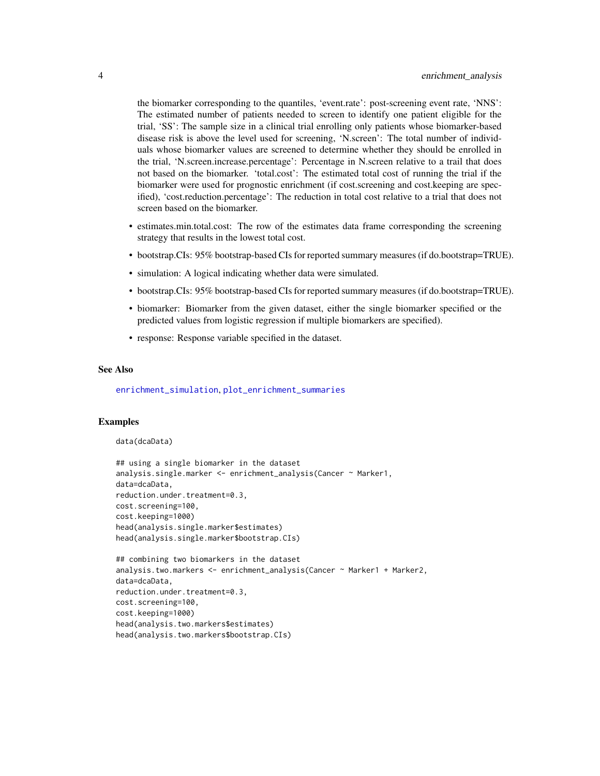<span id="page-3-0"></span>the biomarker corresponding to the quantiles, 'event.rate': post-screening event rate, 'NNS': The estimated number of patients needed to screen to identify one patient eligible for the trial, 'SS': The sample size in a clinical trial enrolling only patients whose biomarker-based disease risk is above the level used for screening, 'N.screen': The total number of individuals whose biomarker values are screened to determine whether they should be enrolled in the trial, 'N.screen.increase.percentage': Percentage in N.screen relative to a trail that does not based on the biomarker. 'total.cost': The estimated total cost of running the trial if the biomarker were used for prognostic enrichment (if cost.screening and cost.keeping are specified), 'cost.reduction.percentage': The reduction in total cost relative to a trial that does not screen based on the biomarker.

- estimates.min.total.cost: The row of the estimates data frame corresponding the screening strategy that results in the lowest total cost.
- bootstrap.CIs: 95% bootstrap-based CIs for reported summary measures (if do.bootstrap=TRUE).
- simulation: A logical indicating whether data were simulated.
- bootstrap.CIs: 95% bootstrap-based CIs for reported summary measures (if do.bootstrap=TRUE).
- biomarker: Biomarker from the given dataset, either the single biomarker specified or the predicted values from logistic regression if multiple biomarkers are specified).
- response: Response variable specified in the dataset.

#### See Also

[enrichment\\_simulation](#page-4-1), [plot\\_enrichment\\_summaries](#page-6-1)

#### Examples

```
data(dcaData)
```

```
## using a single biomarker in the dataset
analysis.single.marker <- enrichment_analysis(Cancer ~ Marker1,
data=dcaData,
reduction.under.treatment=0.3,
cost.screening=100,
cost.keeping=1000)
head(analysis.single.marker$estimates)
head(analysis.single.marker$bootstrap.CIs)
```

```
## combining two biomarkers in the dataset
analysis.two.markers <- enrichment_analysis(Cancer ~ Marker1 + Marker2,
data=dcaData,
reduction.under.treatment=0.3,
cost.screening=100,
cost.keeping=1000)
head(analysis.two.markers$estimates)
head(analysis.two.markers$bootstrap.CIs)
```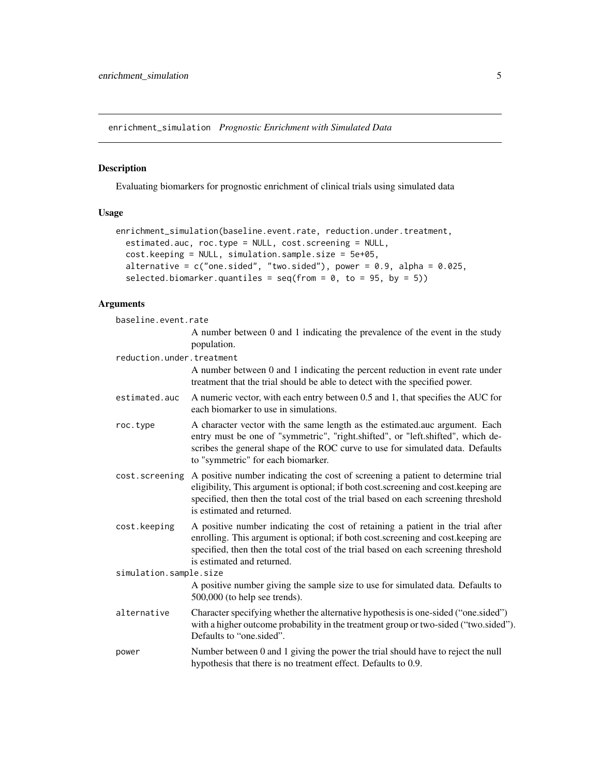<span id="page-4-1"></span><span id="page-4-0"></span>enrichment\_simulation *Prognostic Enrichment with Simulated Data*

# Description

Evaluating biomarkers for prognostic enrichment of clinical trials using simulated data

# Usage

```
enrichment_simulation(baseline.event.rate, reduction.under.treatment,
  estimated.auc, roc.type = NULL, cost.screening = NULL,
 cost.keeping = NULL, simulation.sample.size = 5e+05,
  alternative = c("one.sided", "two.sided"), power = 0.9, alpha = 0.025,selected.biomarker.quantiles = seq(from = 0, to = 95, by = 5))
```
# Arguments

| baseline.event.rate       |                                                                                                                                                                                                                                                                                            |
|---------------------------|--------------------------------------------------------------------------------------------------------------------------------------------------------------------------------------------------------------------------------------------------------------------------------------------|
|                           | A number between 0 and 1 indicating the prevalence of the event in the study<br>population.                                                                                                                                                                                                |
| reduction.under.treatment |                                                                                                                                                                                                                                                                                            |
|                           | A number between 0 and 1 indicating the percent reduction in event rate under<br>treatment that the trial should be able to detect with the specified power.                                                                                                                               |
| estimated.auc             | A numeric vector, with each entry between 0.5 and 1, that specifies the AUC for<br>each biomarker to use in simulations.                                                                                                                                                                   |
| roc.type                  | A character vector with the same length as the estimated.auc argument. Each<br>entry must be one of "symmetric", "right.shifted", or "left.shifted", which de-<br>scribes the general shape of the ROC curve to use for simulated data. Defaults<br>to "symmetric" for each biomarker.     |
| cost.screening            | A positive number indicating the cost of screening a patient to determine trial<br>eligibility, This argument is optional; if both cost.screening and cost.keeping are<br>specified, then then the total cost of the trial based on each screening threshold<br>is estimated and returned. |
| cost.keeping              | A positive number indicating the cost of retaining a patient in the trial after<br>enrolling. This argument is optional; if both cost.screening and cost.keeping are<br>specified, then then the total cost of the trial based on each screening threshold<br>is estimated and returned.   |
| simulation.sample.size    |                                                                                                                                                                                                                                                                                            |
|                           | A positive number giving the sample size to use for simulated data. Defaults to<br>$500,000$ (to help see trends).                                                                                                                                                                         |
| alternative               | Character specifying whether the alternative hypothesis is one-sided ("one.sided")<br>with a higher outcome probability in the treatment group or two-sided ("two.sided").<br>Defaults to "one sided".                                                                                     |
| power                     | Number between 0 and 1 giving the power the trial should have to reject the null<br>hypothesis that there is no treatment effect. Defaults to 0.9.                                                                                                                                         |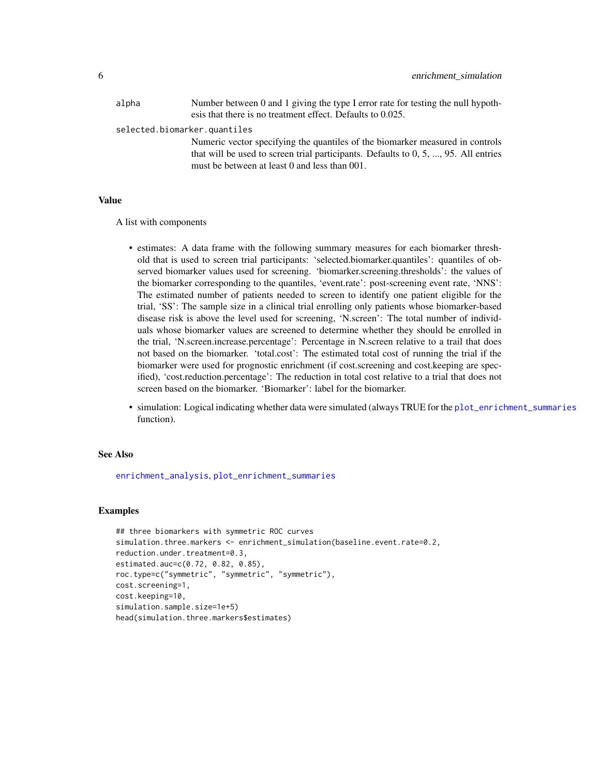<span id="page-5-0"></span>

| alpha | Number between 0 and 1 giving the type I error rate for testing the null hypoth-       |
|-------|----------------------------------------------------------------------------------------|
|       | esis that there is no treatment effect. Defaults to 0.025.                             |
|       | selected.biomarker.quantiles                                                           |
|       | Numeric vector specifying the quantiles of the biomarker measured in controls          |
|       | that will be used to screen trial participants. Defaults to $0, 5, , 95$ . All entries |
|       | must be between at least 0 and less than 001.                                          |

# Value

A list with components

- estimates: A data frame with the following summary measures for each biomarker threshold that is used to screen trial participants: 'selected.biomarker.quantiles': quantiles of observed biomarker values used for screening. 'biomarker.screening.thresholds': the values of the biomarker corresponding to the quantiles, 'event.rate': post-screening event rate, 'NNS': The estimated number of patients needed to screen to identify one patient eligible for the trial, 'SS': The sample size in a clinical trial enrolling only patients whose biomarker-based disease risk is above the level used for screening, 'N.screen': The total number of individuals whose biomarker values are screened to determine whether they should be enrolled in the trial, 'N.screen.increase.percentage': Percentage in N.screen relative to a trail that does not based on the biomarker. 'total.cost': The estimated total cost of running the trial if the biomarker were used for prognostic enrichment (if cost.screening and cost.keeping are specified), 'cost.reduction.percentage': The reduction in total cost relative to a trial that does not screen based on the biomarker. 'Biomarker': label for the biomarker.
- simulation: Logical indicating whether data were simulated (always TRUE for the [plot\\_enrichment\\_summaries](#page-6-1) function).

#### See Also

[enrichment\\_analysis](#page-1-1), [plot\\_enrichment\\_summaries](#page-6-1)

#### Examples

```
## three biomarkers with symmetric ROC curves
simulation.three.markers <- enrichment_simulation(baseline.event.rate=0.2,
reduction.under.treatment=0.3,
estimated.auc=c(0.72, 0.82, 0.85),
roc.type=c("symmetric", "symmetric", "symmetric"),
cost.screening=1,
cost.keeping=10,
simulation.sample.size=1e+5)
head(simulation.three.markers$estimates)
```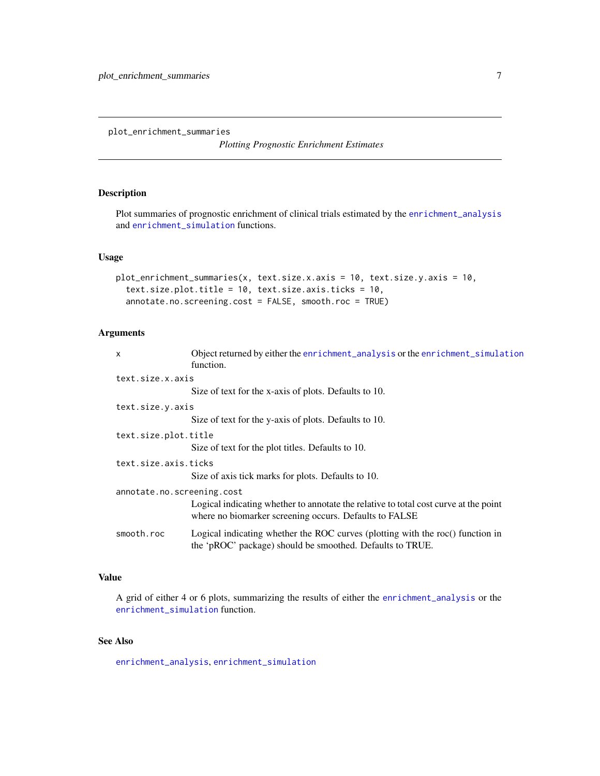<span id="page-6-1"></span><span id="page-6-0"></span>plot\_enrichment\_summaries

*Plotting Prognostic Enrichment Estimates*

# Description

Plot summaries of prognostic enrichment of clinical trials estimated by the [enrichment\\_analysis](#page-1-1) and [enrichment\\_simulation](#page-4-1) functions.

### Usage

```
plot_enrichment_summaries(x, text.size.x.axis = 10, text.size.y.axis = 10,
  text.size.plot.title = 10, text.size.axis.ticks = 10,
  annotate.no.screening.cost = FALSE, smooth.roc = TRUE)
```
#### Arguments

| $\mathsf{x}$               | Object returned by either the enrichment_analysis or the enrichment_simulation<br>function.                                                    |  |
|----------------------------|------------------------------------------------------------------------------------------------------------------------------------------------|--|
| text.size.x.axis           |                                                                                                                                                |  |
|                            | Size of text for the x-axis of plots. Defaults to 10.                                                                                          |  |
| text.size.y.axis           |                                                                                                                                                |  |
|                            | Size of text for the y-axis of plots. Defaults to 10.                                                                                          |  |
| text.size.plot.title       | Size of text for the plot titles. Defaults to 10.                                                                                              |  |
| text.size.axis.ticks       | Size of axis tick marks for plots. Defaults to 10.                                                                                             |  |
| annotate.no.screening.cost | Logical indicating whether to annotate the relative to total cost curve at the point<br>where no biomarker screening occurs. Defaults to FALSE |  |
| smooth.roc                 | Logical indicating whether the ROC curves (plotting with the roc() function in<br>the 'pROC' package) should be smoothed. Defaults to TRUE.    |  |

# Value

A grid of either 4 or 6 plots, summarizing the results of either the [enrichment\\_analysis](#page-1-1) or the [enrichment\\_simulation](#page-4-1) function.

# See Also

[enrichment\\_analysis](#page-1-1), [enrichment\\_simulation](#page-4-1)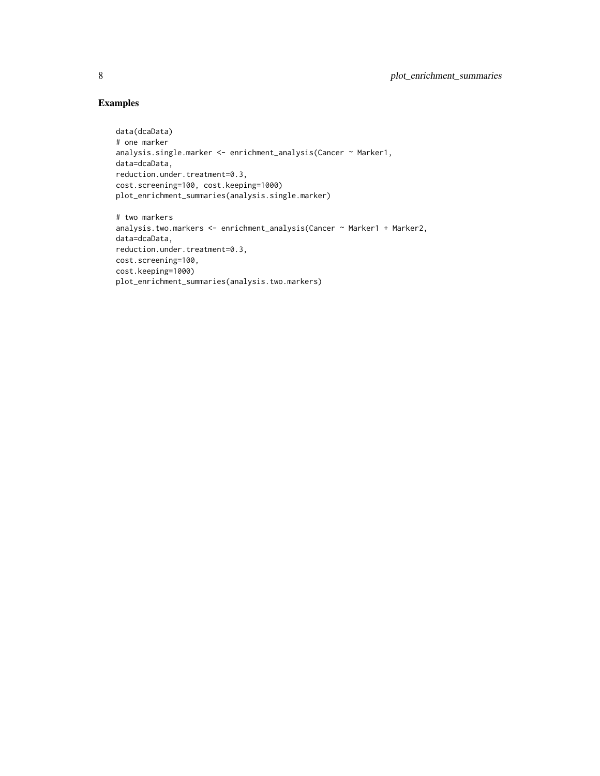# Examples

```
data(dcaData)
# one marker
analysis.single.marker <- enrichment_analysis(Cancer ~ Marker1,
data=dcaData,
reduction.under.treatment=0.3,
cost.screening=100, cost.keeping=1000)
plot_enrichment_summaries(analysis.single.marker)
# two markers
```

```
analysis.two.markers <- enrichment_analysis(Cancer ~ Marker1 + Marker2,
data=dcaData,
reduction.under.treatment=0.3,
cost.screening=100,
cost.keeping=1000)
plot_enrichment_summaries(analysis.two.markers)
```